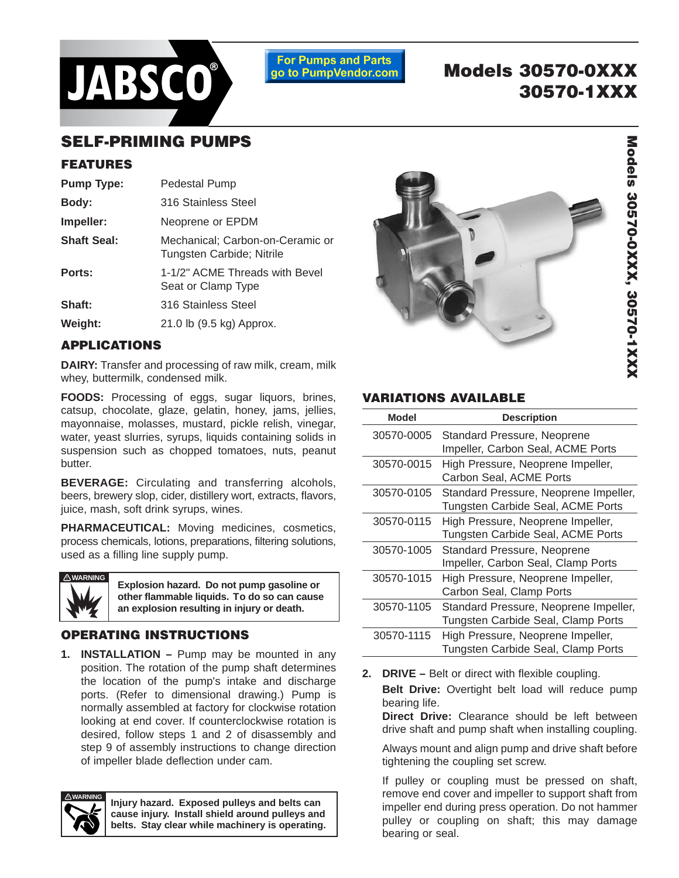

**For Pumps and Parts** go to PumpVendor.com

# **Models 30570-0XXX 30570-1XXX**

## **SELF-PRIMING PUMPS**

## **FEATURES**

| <b>Pump Type:</b>  | Pedestal Pump                                                 |
|--------------------|---------------------------------------------------------------|
| Body:              | 316 Stainless Steel                                           |
| Impeller:          | Neoprene or EPDM                                              |
| <b>Shaft Seal:</b> | Mechanical; Carbon-on-Ceramic or<br>Tungsten Carbide; Nitrile |
| Ports:             | 1-1/2" ACME Threads with Bevel<br>Seat or Clamp Type          |
| Shaft:             | 316 Stainless Steel                                           |
| Weight:            | 21.0 lb (9.5 kg) Approx.                                      |
|                    |                                                               |

## **APPLICATIONS**

**DAIRY:** Transfer and processing of raw milk, cream, milk whey, buttermilk, condensed milk.

**FOODS:** Processing of eggs, sugar liquors, brines, catsup, chocolate, glaze, gelatin, honey, jams, jellies, mayonnaise, molasses, mustard, pickle relish, vinegar, water, yeast slurries, syrups, liquids containing solids in suspension such as chopped tomatoes, nuts, peanut butter.

**BEVERAGE:** Circulating and transferring alcohols, beers, brewery slop, cider, distillery wort, extracts, flavors, juice, mash, soft drink syrups, wines.

**PHARMACEUTICAL:** Moving medicines, cosmetics, process chemicals, lotions, preparations, filtering solutions, used as a filling line supply pump.



**Explosion hazard. Do not pump gasoline or other flammable liquids. To do so can cause an explosion resulting in injury or death.**

## **OPERATING INSTRUCTIONS**

1. **INSTALLATION** – Pump may be mounted in any position. The rotation of the pump shaft determines the location of the pump's intake and discharge ports. (Refer to dimensional drawing.) Pump is normally assembled at factory for clockwise rotation looking at end cover. If counterclockwise rotation is desired, follow steps 1 and 2 of disassembly and step 9 of assembly instructions to change direction of impeller blade deflection under cam.



**Injury hazard. Exposed pulleys and belts can cause injury. Install shield around pulleys and belts. Stay clear while machinery is operating.**



## **VARIATIONS AVAILABLE**

| Model      | <b>Description</b>                                                          |
|------------|-----------------------------------------------------------------------------|
| 30570-0005 | Standard Pressure, Neoprene<br>Impeller, Carbon Seal, ACME Ports            |
| 30570-0015 | High Pressure, Neoprene Impeller,<br>Carbon Seal, ACME Ports                |
| 30570-0105 | Standard Pressure, Neoprene Impeller,<br>Tungsten Carbide Seal, ACME Ports  |
| 30570-0115 | High Pressure, Neoprene Impeller,<br>Tungsten Carbide Seal, ACME Ports      |
| 30570-1005 | Standard Pressure, Neoprene<br>Impeller, Carbon Seal, Clamp Ports           |
| 30570-1015 | High Pressure, Neoprene Impeller,<br>Carbon Seal, Clamp Ports               |
| 30570-1105 | Standard Pressure, Neoprene Impeller,<br>Tungsten Carbide Seal, Clamp Ports |
| 30570-1115 | High Pressure, Neoprene Impeller,<br>Tungsten Carbide Seal, Clamp Ports     |

**2. DRIVE –** Belt or direct with flexible coupling.

**Belt Drive:** Overtight belt load will reduce pump bearing life.

**Direct Drive:** Clearance should be left between drive shaft and pump shaft when installing coupling.

Always mount and align pump and drive shaft before tightening the coupling set screw.

If pulley or coupling must be pressed on shaft, remove end cover and impeller to support shaft from impeller end during press operation. Do not hammer pulley or coupling on shaft; this may damage bearing or seal.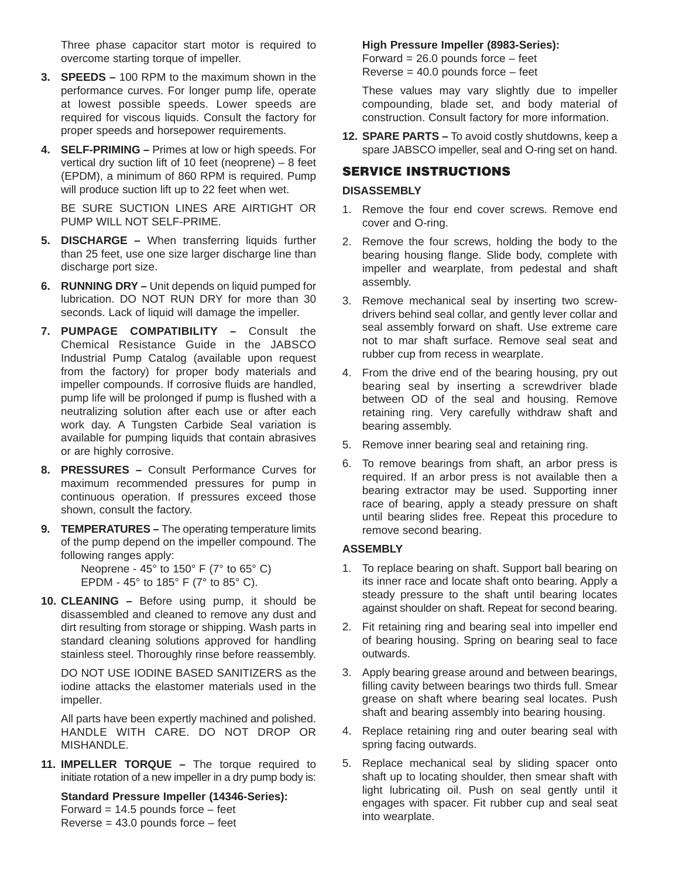Three phase capacitor start motor is required to overcome starting torque of impeller.

- **3. SPEEDS** 100 RPM to the maximum shown in the performance curves. For longer pump life, operate at lowest possible speeds. Lower speeds are required for viscous liquids. Consult the factory for proper speeds and horsepower requirements.
- **4. SELF-PRIMING** Primes at low or high speeds. For vertical dry suction lift of 10 feet (neoprene) – 8 feet (EPDM), a minimum of 860 RPM is required. Pump will produce suction lift up to 22 feet when wet.

BE SURE SUCTION LINES ARE AIRTIGHT OR PUMP WILL NOT SELF-PRIME.

- **5. DISCHARGE** When transferring liquids further than 25 feet, use one size larger discharge line than discharge port size.
- **6. RUNNING DRY** Unit depends on liquid pumped for lubrication. DO NOT RUN DRY for more than 30 seconds. Lack of liquid will damage the impeller.
- **7. PUMPAGE COMPATIBILITY** Consult the Chemical Resistance Guide in the JABSCO Industrial Pump Catalog (available upon request from the factory) for proper body materials and impeller compounds. If corrosive fluids are handled, pump life will be prolonged if pump is flushed with a neutralizing solution after each use or after each work day. A Tungsten Carbide Seal variation is available for pumping liquids that contain abrasives or are highly corrosive.
- **8. PRESSURES** Consult Performance Curves for maximum recommended pressures for pump in continuous operation. If pressures exceed those shown, consult the factory.
- **9. TEMPERATURES** The operating temperature limits of the pump depend on the impeller compound. The following ranges apply:

Neoprene - 45° to 150° F (7° to 65° C) EPDM - 45° to 185° F (7° to 85° C).

**10. CLEANING –** Before using pump, it should be disassembled and cleaned to remove any dust and dirt resulting from storage or shipping. Wash parts in standard cleaning solutions approved for handling stainless steel. Thoroughly rinse before reassembly.

DO NOT USE IODINE BASED SANITIZERS as the iodine attacks the elastomer materials used in the impeller.

All parts have been expertly machined and polished. HANDLE WITH CARE. DO NOT DROP OR MISHANDLE.

**11. IMPELLER TORQUE –** The torque required to initiate rotation of a new impeller in a dry pump body is:

**Standard Pressure Impeller (14346-Series):** Forward =  $14.5$  pounds force  $-$  feet Reverse  $= 43.0$  pounds force  $-$  feet

#### **High Pressure Impeller (8983-Series):**

Forward  $= 26.0$  pounds force  $-$  feet  $Reverse = 40.0$  pounds force  $-$  feet

These values may vary slightly due to impeller compounding, blade set, and body material of construction. Consult factory for more information.

**12. SPARE PARTS –** To avoid costly shutdowns, keep a spare JABSCO impeller, seal and O-ring set on hand.

### **SERVICE INSTRUCTIONS**

#### **DISASSEMBLY**

- 1. Remove the four end cover screws. Remove end cover and O-ring.
- 2. Remove the four screws, holding the body to the bearing housing flange. Slide body, complete with impeller and wearplate, from pedestal and shaft assembly.
- 3. Remove mechanical seal by inserting two screwdrivers behind seal collar, and gently lever collar and seal assembly forward on shaft. Use extreme care not to mar shaft surface. Remove seal seat and rubber cup from recess in wearplate.
- 4. From the drive end of the bearing housing, pry out bearing seal by inserting a screwdriver blade between OD of the seal and housing. Remove retaining ring. Very carefully withdraw shaft and bearing assembly.
- 5. Remove inner bearing seal and retaining ring.
- 6. To remove bearings from shaft, an arbor press is required. If an arbor press is not available then a bearing extractor may be used. Supporting inner race of bearing, apply a steady pressure on shaft until bearing slides free. Repeat this procedure to remove second bearing.

#### **ASSEMBLY**

- 1. To replace bearing on shaft. Support ball bearing on its inner race and locate shaft onto bearing. Apply a steady pressure to the shaft until bearing locates against shoulder on shaft. Repeat for second bearing.
- 2. Fit retaining ring and bearing seal into impeller end of bearing housing. Spring on bearing seal to face outwards.
- 3. Apply bearing grease around and between bearings, filling cavity between bearings two thirds full. Smear grease on shaft where bearing seal locates. Push shaft and bearing assembly into bearing housing.
- 4. Replace retaining ring and outer bearing seal with spring facing outwards.
- 5. Replace mechanical seal by sliding spacer onto shaft up to locating shoulder, then smear shaft with light lubricating oil. Push on seal gently until it engages with spacer. Fit rubber cup and seal seat into wearplate.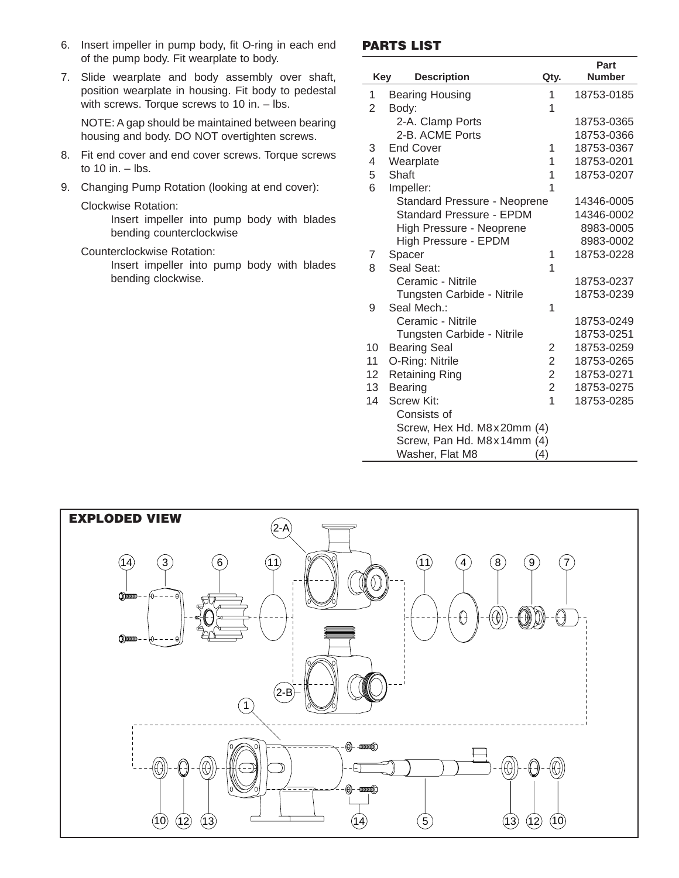- 6. Insert impeller in pump body, fit O-ring in each end of the pump body. Fit wearplate to body.
- 7. Slide wearplate and body assembly over shaft, position wearplate in housing. Fit body to pedestal with screws. Torque screws to 10 in. – lbs.

NOTE: A gap should be maintained between bearing housing and body. DO NOT overtighten screws.

- 8. Fit end cover and end cover screws. Torque screws to  $10$  in.  $-$  lbs.
- 9. Changing Pump Rotation (looking at end cover):

#### Clockwise Rotation:

Insert impeller into pump body with blades bending counterclockwise

#### Counterclockwise Rotation:

Insert impeller into pump body with blades bending clockwise.

#### **PARTS LIST**

|                 |                                     |                | Part<br><b>Number</b> |
|-----------------|-------------------------------------|----------------|-----------------------|
| Key             | <b>Description</b>                  | Qty.           |                       |
| 1               | <b>Bearing Housing</b>              | 1              | 18753-0185            |
| 2               | Body:                               |                |                       |
|                 | 2-A. Clamp Ports                    |                | 18753-0365            |
|                 | 2-B. ACME Ports                     |                | 18753-0366            |
| 3               | <b>End Cover</b>                    | 1              | 18753-0367            |
| 4               | Wearplate                           | 1              | 18753-0201            |
| 5               | Shaft                               | 1              | 18753-0207            |
| 6               | Impeller:                           | 1              |                       |
|                 | <b>Standard Pressure - Neoprene</b> |                | 14346-0005            |
|                 | Standard Pressure - EPDM            |                | 14346-0002            |
|                 | High Pressure - Neoprene            |                | 8983-0005             |
|                 | High Pressure - EPDM                |                | 8983-0002             |
| 7               | Spacer                              | 1              | 18753-0228            |
| 8               | Seal Seat:                          | 1              |                       |
|                 | Ceramic - Nitrile                   |                | 18753-0237            |
|                 | Tungsten Carbide - Nitrile          |                | 18753-0239            |
| 9               | Seal Mech.:                         | 1              |                       |
|                 | Ceramic - Nitrile                   |                | 18753-0249            |
|                 | Tungsten Carbide - Nitrile          |                | 18753-0251            |
| 10              | <b>Bearing Seal</b>                 | 2              | 18753-0259            |
| 11              | O-Ring: Nitrile                     | $\overline{c}$ | 18753-0265            |
| 12 <sub>2</sub> | <b>Retaining Ring</b>               | $\overline{2}$ | 18753-0271            |
| 13              | <b>Bearing</b>                      | $\overline{2}$ | 18753-0275            |
| 14              | <b>Screw Kit:</b>                   | $\overline{1}$ | 18753-0285            |
|                 | Consists of                         |                |                       |
|                 | Screw, Hex Hd. M8x20mm (4)          |                |                       |
|                 | Screw, Pan Hd. M8x14mm (4)          |                |                       |
|                 | Washer, Flat M8                     | (4)            |                       |